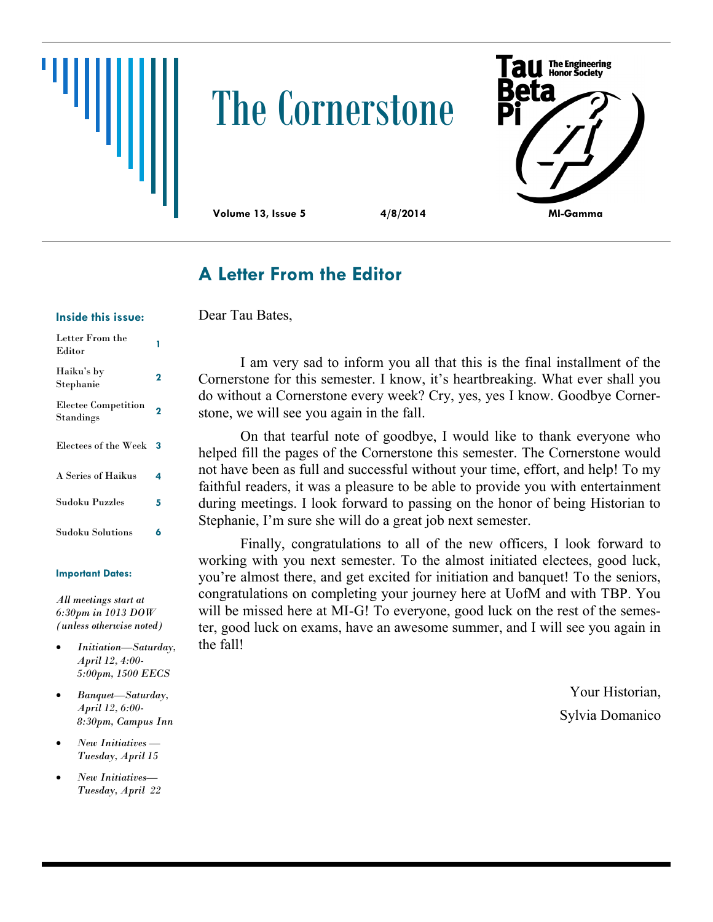# The Cornerstone



Dear Tau Bates,

## **A Letter From the Editor**

#### **Inside this issue:**

| Letter From the<br>Editor               |   |
|-----------------------------------------|---|
| Haiku's by<br>Stephanie                 | 2 |
| <b>Electee Competition</b><br>Standings | 2 |
| Electees of the Week                    | 3 |
| A Series of Haikus                      | 4 |
| Sudoku Puzzles                          | 5 |
| Sudoku Solutions                        | 6 |

#### **Important Dates:**

*All meetings start at 6:30pm in 1013 DOW (unless otherwise noted)*

- *Initiation—Saturday, April 12, 4:00- 5:00pm, 1500 EECS*
- *Banquet—Saturday, April 12, 6:00- 8:30pm, Campus Inn*
- *New Initiatives — Tuesday, April 15*
- *New Initiatives— Tuesday, April 22*

I am very sad to inform you all that this is the final installment of the Cornerstone for this semester. I know, it's heartbreaking. What ever shall you do without a Cornerstone every week? Cry, yes, yes I know. Goodbye Cornerstone, we will see you again in the fall.

On that tearful note of goodbye, I would like to thank everyone who helped fill the pages of the Cornerstone this semester. The Cornerstone would not have been as full and successful without your time, effort, and help! To my faithful readers, it was a pleasure to be able to provide you with entertainment during meetings. I look forward to passing on the honor of being Historian to Stephanie, I'm sure she will do a great job next semester.

Finally, congratulations to all of the new officers, I look forward to working with you next semester. To the almost initiated electees, good luck, you're almost there, and get excited for initiation and banquet! To the seniors, congratulations on completing your journey here at UofM and with TBP. You will be missed here at MI-G! To everyone, good luck on the rest of the semester, good luck on exams, have an awesome summer, and I will see you again in the fall!

> Your Historian, Sylvia Domanico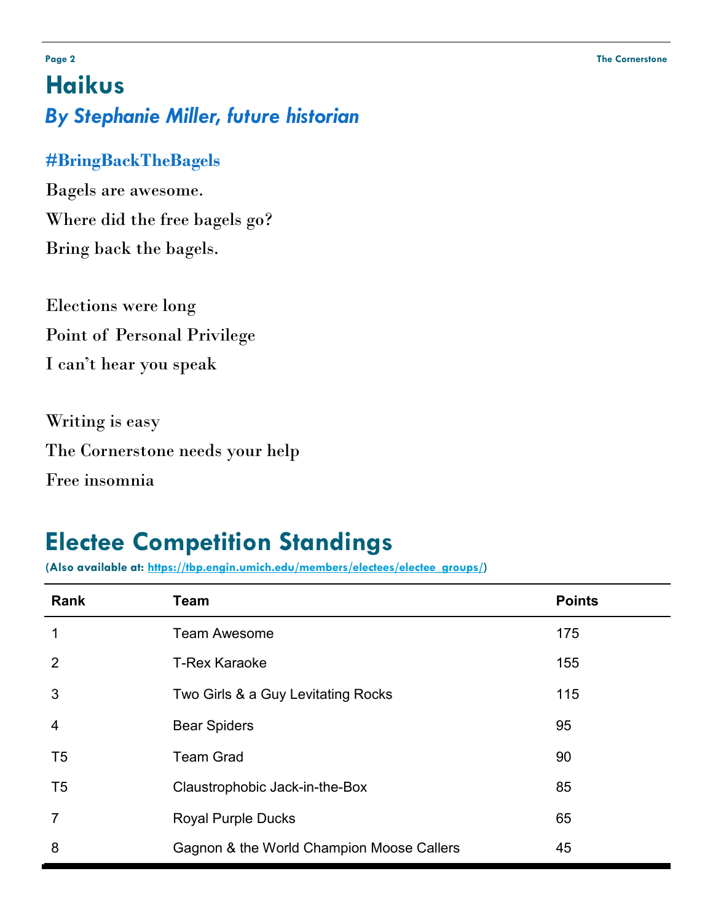# **Haikus** *By Stephanie Miller, future historian*

## **#BringBackTheBagels**

Bagels are awesome. Where did the free bagels go? Bring back the bagels.

Elections were long Point of Personal Privilege I can't hear you speak

Writing is easy The Cornerstone needs your help Free insomnia

# **Electee Competition Standings**

**(Also available at: [https://tbp.engin.umich.edu/members/electees/electee\\_groups/\)](https://tbp.engin.umich.edu/members/electees/electee_groups/)**

| Rank           | <b>Team</b>                               | <b>Points</b> |
|----------------|-------------------------------------------|---------------|
| 1              | <b>Team Awesome</b>                       | 175           |
| $\overline{2}$ | <b>T-Rex Karaoke</b>                      | 155           |
| 3              | Two Girls & a Guy Levitating Rocks        | 115           |
| 4              | <b>Bear Spiders</b>                       | 95            |
| T <sub>5</sub> | <b>Team Grad</b>                          | 90            |
| T <sub>5</sub> | Claustrophobic Jack-in-the-Box            | 85            |
| 7              | <b>Royal Purple Ducks</b>                 | 65            |
| 8              | Gagnon & the World Champion Moose Callers | 45            |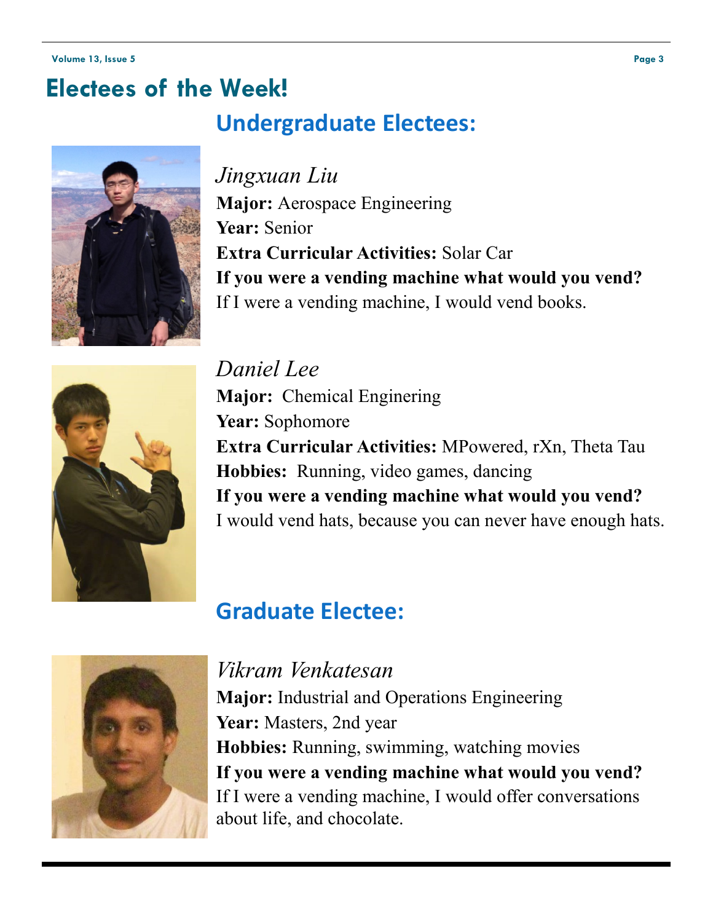#### **Volume 13, Issue 5 Page 3**

# **Electees of the Week! Undergraduate Electees:**



*Jingxuan Liu* **Major:** Aerospace Engineering **Year:** Senior **Extra Curricular Activities:** Solar Car **If you were a vending machine what would you vend?**  If I were a vending machine, I would vend books.



*Daniel Lee* **Major:** Chemical Enginering **Year:** Sophomore **Extra Curricular Activities:** MPowered, rXn, Theta Tau **Hobbies:** Running, video games, dancing **If you were a vending machine what would you vend?**  I would vend hats, because you can never have enough hats.

# **Graduate Electee:**



## *Vikram Venkatesan*

**Major:** Industrial and Operations Engineering **Year:** Masters, 2nd year **Hobbies:** Running, swimming, watching movies **If you were a vending machine what would you vend?**  If I were a vending machine, I would offer conversations about life, and chocolate.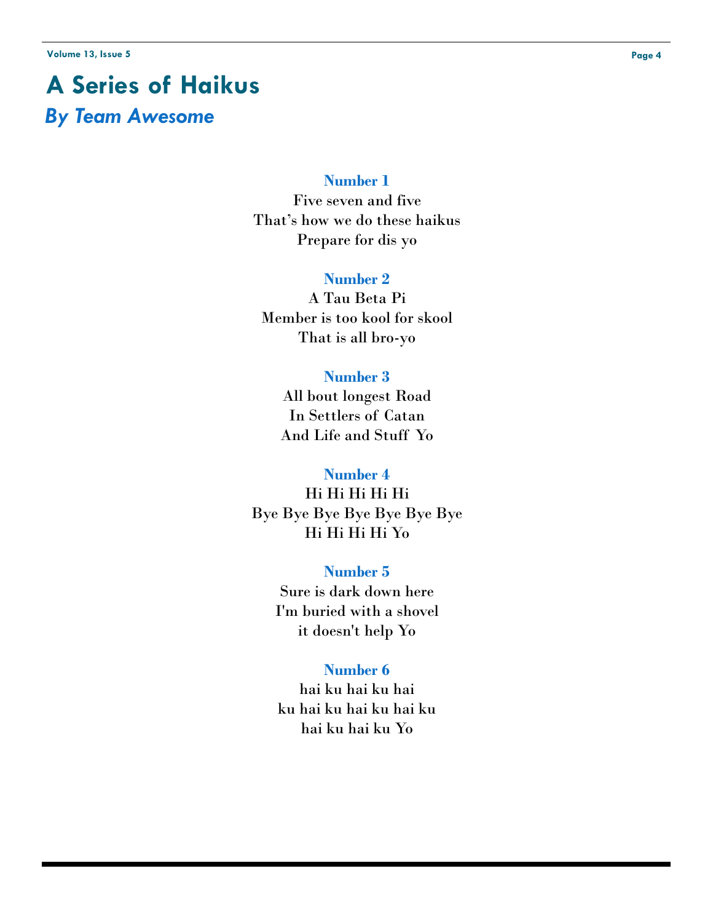## **A Series of Haikus** *By Team Awesome*

## **Number 1**

Five seven and five That's how we do these haikus Prepare for dis yo

## **Number 2**

A Tau Beta Pi Member is too kool for skool That is all bro-yo

## **Number 3**

All bout longest Road In Settlers of Catan And Life and Stuff Yo

## **Number 4**

Hi Hi Hi Hi Hi Bye Bye Bye Bye Bye Bye Bye Hi Hi Hi Hi Yo

> **Number 5** Sure is dark down here I'm buried with a shovel it doesn't help Yo

## **Number 6**

hai ku hai ku hai ku hai ku hai ku hai ku hai ku hai ku Yo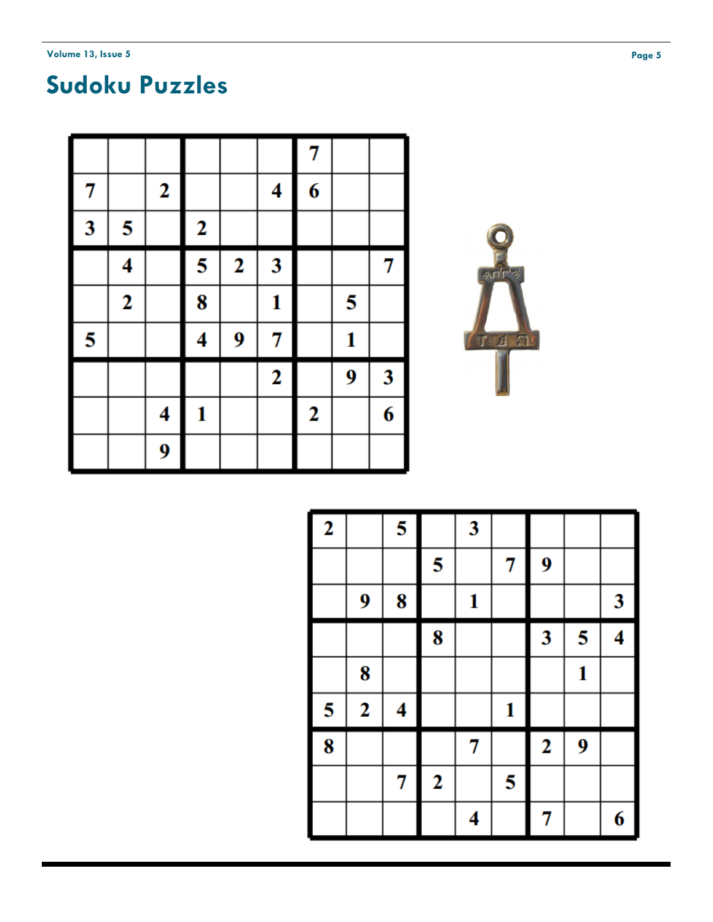# **Sudoku Puzzles**

|                         |              |              |                  |              |                         | 7                       |   |                         |
|-------------------------|--------------|--------------|------------------|--------------|-------------------------|-------------------------|---|-------------------------|
| 7                       |              | $\mathbf{2}$ |                  |              | 4                       | 6                       |   |                         |
| $\overline{\mathbf{3}}$ | 5            |              | $\boldsymbol{2}$ |              |                         |                         |   |                         |
|                         | 4            |              | 5                | $\mathbf{2}$ | $\overline{\mathbf{3}}$ |                         |   | 7                       |
|                         | $\mathbf{2}$ |              | 8                |              | $\mathbf{1}$            |                         | 5 |                         |
| 5                       |              |              | 4                | 9            | 7                       |                         | 1 |                         |
|                         |              |              |                  |              | $\mathbf{2}$            |                         | 9 | $\overline{\mathbf{3}}$ |
|                         |              | 4            | 1                |              |                         | $\overline{\mathbf{2}}$ |   | 6                       |
|                         |              | 9            |                  |              |                         |                         |   |                         |



| $\overline{2}$ |                         | 5 |              | $\overline{\mathbf{3}}$ |   |                         |   |   |
|----------------|-------------------------|---|--------------|-------------------------|---|-------------------------|---|---|
|                |                         |   | 5            |                         | 7 | 9                       |   |   |
|                | 9                       | 8 |              | 1                       |   |                         |   | 3 |
|                |                         |   | 8            |                         |   | $\overline{\mathbf{3}}$ | 5 | 4 |
|                | 8                       |   |              |                         |   |                         | 1 |   |
| 5              | $\overline{\mathbf{2}}$ | 4 |              |                         | 1 |                         |   |   |
| 8              |                         |   |              | 7                       |   | $\mathbf{2}$            | 9 |   |
|                |                         | 7 | $\mathbf{2}$ |                         | 5 |                         |   |   |
|                |                         |   |              | 4                       |   | 7                       |   | 6 |